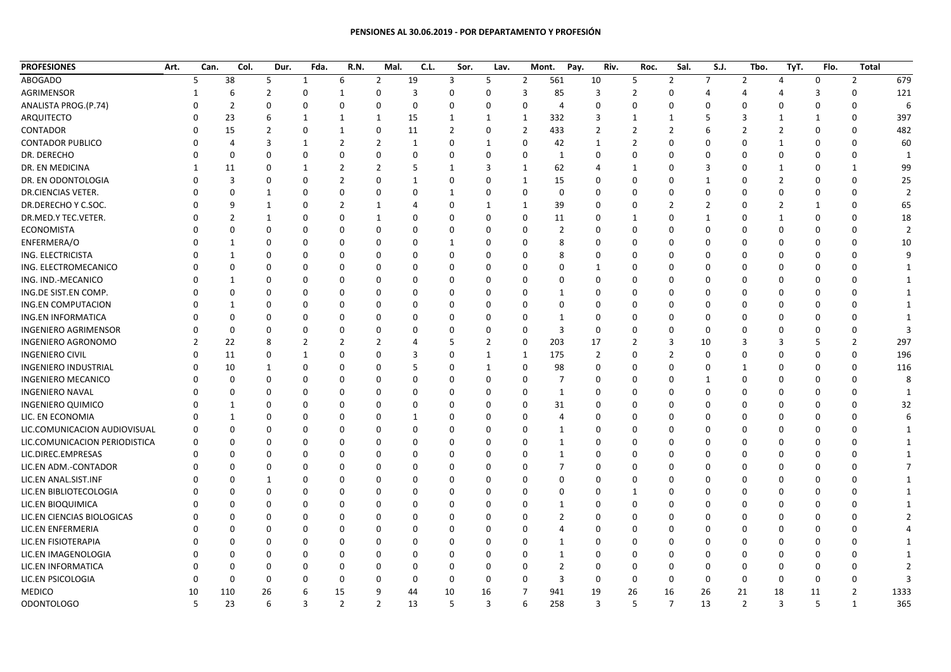## **PENSIONES AL 30.06.2019 ‐ POR DEPARTAMENTO Y PROFESIÓN**

| <b>PROFESIONES</b>            | Art. | Can.     | Col.           | Dur.           | Fda.         | R.N.           | Mal.           | C.L.           | Sor.           | Lav.          |                | Pay.<br>Mont.  | Riv.           | Roc.           | Sal.           | S.J.           | Tbo.           | TyT.           | Flo.        | Total          |                |
|-------------------------------|------|----------|----------------|----------------|--------------|----------------|----------------|----------------|----------------|---------------|----------------|----------------|----------------|----------------|----------------|----------------|----------------|----------------|-------------|----------------|----------------|
| <b>ABOGADO</b>                |      | 5        | 38             | 5              | $\mathbf{1}$ | 6              | $\overline{2}$ | 19             | 3              | 5             | $\overline{2}$ | 561            | 10             | 5              | $\overline{2}$ | $\overline{7}$ | $\overline{2}$ | $\overline{4}$ | $\mathbf 0$ | $\overline{2}$ | 679            |
| <b>AGRIMENSOR</b>             |      |          | 6              | $\overline{2}$ | $\mathbf 0$  | $\mathbf{1}$   | $\mathbf 0$    | $\overline{3}$ | $\Omega$       | $\mathbf{0}$  | 3              | 85             | 3              | $\overline{2}$ | $\mathbf{0}$   | 4              | 4              | Δ              | 3           | $\mathbf{0}$   | 121            |
| ANALISTA PROG.(P.74)          |      |          | $\overline{2}$ | 0              | $\mathbf 0$  | $\Omega$       | $\mathbf 0$    | $\Omega$       | $\Omega$       | $\Omega$      | $\Omega$       | $\overline{4}$ | $\Omega$       | $\Omega$       | 0              | $\Omega$       | $\Omega$       | $\mathbf 0$    | $\Omega$    | $\Omega$       | 6              |
| ARQUITECTO                    |      |          | 23             | 6              | $\mathbf{1}$ | 1              | 1              | 15             | 1              | 1             | 1              | 332            | 3              | 1              | 1              | 5              | 3              | 1              | 1           | 0              | 397            |
| CONTADOR                      |      |          | 15             | $\overline{2}$ | $\mathbf 0$  | $\mathbf{1}$   | $\mathbf 0$    | 11             | $\overline{2}$ | $\Omega$      | $\overline{2}$ | 433            | 2              | $\overline{2}$ | $\overline{2}$ | 6              | $\overline{2}$ | $\overline{2}$ | $\Omega$    | $\Omega$       | 482            |
| <b>CONTADOR PUBLICO</b>       |      |          | 4              | 3              | 1            | $\overline{2}$ | $\overline{2}$ | 1              | $\Omega$       | 1             | $\Omega$       | 42             | 1              | $\overline{2}$ | $\Omega$       | $\Omega$       | $\Omega$       | $\mathbf{1}$   | $\Omega$    | $\Omega$       | 60             |
| DR. DERECHO                   |      | $\Omega$ | $\Omega$       | $\Omega$       | $\mathbf 0$  | $\Omega$       | $\mathbf 0$    | $\Omega$       | $\Omega$       | $\Omega$      | 0              | 1              | 0              | $\Omega$       | 0              | $\Omega$       | $\Omega$       | $\mathbf 0$    | $\Omega$    | 0              | - 1            |
| DR. EN MEDICINA               |      | 1        | 11             | 0              | 1            | 2              | $\overline{2}$ | .5             | $\mathbf{1}$   | 3             | 1              | 62             | 4              | 1              | 0              | 3              | $\Omega$       | 1              | $\Omega$    | $\mathbf{1}$   | 99             |
| DR. EN ODONTOLOGIA            |      |          | 3              | 0              | $\Omega$     | $\overline{2}$ | $\Omega$       | $\mathbf{1}$   | 0              | $\Omega$      | $\mathbf{1}$   | 15             | 0              | $\Omega$       | $\Omega$       | -1             | $\Omega$       | $\overline{2}$ | $\Omega$    | $\Omega$       | 25             |
| <b>DR.CIENCIAS VETER.</b>     |      |          | $\Omega$       | $\mathbf{1}$   | $\Omega$     | $\Omega$       | $\mathbf 0$    | $\Omega$       | 1              | $\Omega$      | $\Omega$       | $\mathbf 0$    | $\Omega$       | 0              | 0              | $\mathbf 0$    | $\Omega$       | $\mathbf 0$    | $\mathbf 0$ | 0              |                |
| DR.DERECHO Y C.SOC.           |      | U        | 9              | $\mathbf{1}$   | $\Omega$     | $\overline{2}$ | 1              | Δ              | $\Omega$       | $\mathbf{1}$  | $\mathbf{1}$   | 39             | $\Omega$       | O              | 2              | $\overline{2}$ | $\Omega$       | $\overline{2}$ | 1           | 0              | 65             |
| DR.MED.Y TEC.VETER.           |      |          | $\overline{2}$ | $\mathbf{1}$   | $\Omega$     | $\Omega$       | 1              | O              | $\Omega$       | $\Omega$      | $\Omega$       | 11             | $\Omega$       | 1              | $\Omega$       | 1              | $\Omega$       | 1              | $\Omega$    | $\Omega$       | 18             |
| <b>ECONOMISTA</b>             |      |          | $\Omega$       | 0              | $\Omega$     | $\Omega$       | $\mathbf 0$    | $\Omega$       | $\Omega$       | $\Omega$      | $\Omega$       | $\overline{2}$ | $\Omega$       | $\Omega$       | 0              | $\Omega$       | $\Omega$       | $\Omega$       | $\Omega$    | $\Omega$       | $\mathcal{I}$  |
| ENFERMERA/O                   |      |          | $\mathbf{1}$   | 0              | $\Omega$     | $\Omega$       | $\Omega$       | O              | $\mathbf{1}$   | n             | O              |                | 0              | ŋ              | $\Omega$       | $\Omega$       | $\Omega$       | $\Omega$       | $\Omega$    | $\Omega$       | 10             |
| ING. ELECTRICISTA             |      |          | $\mathbf{1}$   | 0              | $\Omega$     | $\Omega$       | $\Omega$       | $\Omega$       | <sup>0</sup>   | $\Omega$      | <sup>0</sup>   |                | $\Omega$       | ŋ              | $\Omega$       | $\Omega$       | $\Omega$       | $\Omega$       | $\Omega$    | $\Omega$       | q              |
| ING. ELECTROMECANICO          |      |          | 0              | 0              | $\Omega$     | $\Omega$       | $\Omega$       | C              | $\Omega$       | n             |                |                | 1              | 0              | $\Omega$       | $\Omega$       | $\Omega$       | $\Omega$       | $\Omega$    | $\Omega$       |                |
| ING. IND.-MECANICO            |      |          | 1              | 0              | $\Omega$     | $\Omega$       | $\Omega$       |                |                |               |                |                |                |                | $\Omega$       | $\Omega$       |                | $\Omega$       | $\Omega$    | $\Omega$       |                |
| ING.DE SIST.EN COMP.          |      |          | 0              | 0              | $\Omega$     | $\Omega$       | $\Omega$       | O              | 0              | O             | n              |                | ŋ              | 0              | $\Omega$       | $\Omega$       | $\Omega$       | 0              | $\Omega$    | 0              | -1             |
| <b>ING.EN COMPUTACION</b>     |      |          | $\mathbf{1}$   | 0              | $\Omega$     | $\Omega$       | $\Omega$       | O              | $\Omega$       | n             | <sup>0</sup>   | $\Omega$       | O              | O              | $\Omega$       | $\Omega$       | $\Omega$       | $\Omega$       | $\Omega$    | $\Omega$       | -1             |
| ING.EN INFORMATICA            |      |          | $\Omega$       | 0              | $\Omega$     |                | $\Omega$       | C              | O              |               |                | -1             | O              | 0              | $\Omega$       | $\Omega$       | $\Omega$       | $\Omega$       | $\Omega$    | $\Omega$       |                |
| <b>INGENIERO AGRIMENSOR</b>   |      |          | $\Omega$       | 0              | $\Omega$     | $\Omega$       | $\Omega$       | C              | U              | n             | $\Omega$       | $\mathbf{3}$   | $\mathbf 0$    | 0              | $\Omega$       | $\Omega$       | $\Omega$       | $\Omega$       | $\Omega$    | $\Omega$       |                |
| <b>INGENIERO AGRONOMO</b>     |      | 2        | 22             | 8              | 2            | $\overline{2}$ | $\overline{2}$ | Δ              | 5              | $\mathcal{P}$ | 0              | 203            | 17             | 2              | 3              | 10             | 3              | -3             | 5           | $\overline{2}$ | 297            |
| <b>INGENIERO CIVIL</b>        |      |          | 11             | 0              | $\mathbf{1}$ | $\Omega$       | $\Omega$       | 3              | $\Omega$       | $\mathbf{1}$  | 1              | 175            | $\overline{2}$ | $\Omega$       | $\overline{2}$ | $\Omega$       | $\Omega$       | $\Omega$       | $\Omega$    | $\mathbf{0}$   | 196            |
| <b>INGENIERO INDUSTRIAL</b>   |      |          | 10             | 1              | $\mathbf 0$  | $\Omega$       | $\Omega$       | 5              | $\Omega$       | 1             | $\Omega$       | 98             | $\Omega$       | 0              | $\Omega$       | 0              | 1              | 0              | $\mathbf 0$ | 0              | 116            |
| <b>INGENIERO MECANICO</b>     |      |          | $\Omega$       | 0              | $\Omega$     | $\Omega$       | $\Omega$       | $\Omega$       | $\Omega$       | $\Omega$      | $\Omega$       | 7              | $\Omega$       | $\Omega$       | $\Omega$       | -1             | $\Omega$       | $\Omega$       | $\Omega$    | $\Omega$       | ۶              |
| <b>INGENIERO NAVAL</b>        |      |          | 0              | 0              | $\Omega$     | $\Omega$       | $\Omega$       | O              | O              | O             | 0              | 1              | $\Omega$       | O              | $\Omega$       | $\Omega$       | $\Omega$       | -0             | $\mathbf 0$ | 0              | -1             |
| <b>INGENIERO QUIMICO</b>      |      | n        | 1              | 0              | $\Omega$     | $\Omega$       | $\Omega$       | ŋ              | <sup>0</sup>   | n             | $\Omega$       | 31             | $\Omega$       | O              | $\Omega$       | $\Omega$       | $\Omega$       | $\Omega$       | $\Omega$    | $\Omega$       | 32             |
| LIC. EN ECONOMIA              |      |          | 1              | 0              | $\Omega$     | $\Omega$       | $\Omega$       | 1              | O              | O             | O              |                | ŋ              | O              | $\Omega$       | $\Omega$       | $\Omega$       | $\Omega$       | $\Omega$    | $\Omega$       | 6              |
| LIC.COMUNICACION AUDIOVISUAL  |      | $\Omega$ | $\Omega$       | 0              | $\Omega$     | $\Omega$       | $\Omega$       | $\Omega$       | O              | n             | O              | -1             | O              | 0              | $\Omega$       | $\Omega$       | $\Omega$       | $\Omega$       | $\Omega$    | $\Omega$       |                |
| LIC.COMUNICACION PERIODISTICA |      | $\Omega$ | 0              | 0              | $\mathbf 0$  | $\Omega$       | $\mathbf 0$    | O              | $\Omega$       | O             | $\Omega$       |                | 0              | 0              | 0              | $\Omega$       | $\Omega$       | -0             | $\mathbf 0$ | $\Omega$       | -1             |
| LIC.DIREC.EMPRESAS            |      |          | $\Omega$       | 0              | $\Omega$     | $\Omega$       | $\Omega$       | O              | $\Omega$       | $\Omega$      | <sup>0</sup>   |                | $\Omega$       | O              | $\Omega$       | $\Omega$       | $\Omega$       | $\Omega$       | $\Omega$    | $\Omega$       |                |
| LIC.EN ADM.-CONTADOR          |      |          | 0              | 0              | $\mathbf 0$  | $\Omega$       | $\mathbf 0$    | O              | $\Omega$       | $\Omega$      | O              | 7              | $\Omega$       | 0              | $\Omega$       | $\Omega$       | $\Omega$       | 0              | $\Omega$    | $\Omega$       |                |
| LIC.EN ANAL.SIST.INF          |      |          | $\Omega$       | $\mathbf{1}$   | $\mathbf 0$  | $\Omega$       | $\Omega$       | C              | 0              |               | <sup>0</sup>   |                | ŋ              | ŋ              | $\Omega$       | $\Omega$       | $\Omega$       | $\Omega$       | $\Omega$    | $\Omega$       | $\overline{1}$ |
| LIC.EN BIBLIOTECOLOGIA        |      |          | 0              | 0              | $\Omega$     | $\Omega$       | $\Omega$       | O              | 0              | n             | <sup>0</sup>   |                | ŋ              | 1              | 0              | $\Omega$       | $\Omega$       | $\Omega$       | $\Omega$    | $\Omega$       |                |
| LIC.EN BIOQUIMICA             |      |          | 0              | 0              | $\Omega$     | $\Omega$       | $\Omega$       | O              | <sup>0</sup>   | n             |                | -1             | O              | O              | 0              | $\Omega$       | $\Omega$       | $\Omega$       | $\mathbf 0$ | $\Omega$       | -1             |
| LIC.EN CIENCIAS BIOLOGICAS    |      |          | 0              | $\Omega$       | $\Omega$     | $\Omega$       | $\Omega$       | O              |                | O             |                |                |                | 0              | $\Omega$       | $\Omega$       | $\Omega$       | $\Omega$       | $\mathbf 0$ | 0              |                |
| LIC.EN ENFERMERIA             |      |          | $\Omega$       | 0              | $\Omega$     | $\Omega$       | $\Omega$       | $\Omega$       | $\Omega$       | n             | n              |                | $\Omega$       | O              | $\Omega$       | $\Omega$       | $\Omega$       | $\Omega$       | $\Omega$    | $\Omega$       |                |
| LIC.EN FISIOTERAPIA           |      |          | 0              | 0              | 0            | $\Omega$       | $\Omega$       | O              | $\Omega$       | O             | O              |                | $\Omega$       | 0              | $\Omega$       | $\Omega$       | $\Omega$       | $\Omega$       | $\Omega$    | $\Omega$       | -1             |
| LIC.EN IMAGENOLOGIA           |      |          | $\Omega$       | 0              | $\Omega$     | $\Omega$       | $\Omega$       | C              | $\Omega$       |               |                | -1             |                | O              | $\Omega$       | $\Omega$       | $\Omega$       | $\Omega$       | $\Omega$    | 0              | -1             |
| LIC.EN INFORMATICA            |      |          | $\Omega$       | 0              | $\Omega$     | $\Omega$       | $\mathbf 0$    | O              | $\Omega$       | $\Omega$      | $\Omega$       | $\overline{2}$ | $\Omega$       | 0              | 0              | $\Omega$       | $\Omega$       | 0              | $\Omega$    | 0              | 2              |
| LIC.EN PSICOLOGIA             |      |          | $\Omega$       | $\mathbf 0$    | $\Omega$     | $\Omega$       | $\mathbf 0$    | $\Omega$       | $\Omega$       | $\Omega$      | $\Omega$       | 3              | 0              | $\mathbf 0$    | $\mathbf{0}$   | 0              | $\Omega$       | 0              | $\mathbf 0$ | 0              | $\mathbf{a}$   |
| <b>MEDICO</b>                 |      | 10       | 110            | 26             | 6            | 15             | 9              | 44             | 10             | 16            | 7              | 941            | 19             | 26             | 16             | 26             | 21             | 18             | 11          | $\overline{2}$ | 1333           |
| <b>ODONTOLOGO</b>             |      | 5        | 23             | 6              | 3            | $\overline{2}$ | $\overline{2}$ | 13             | 5              | 3             | 6              | 258            | 3              | 5              | $\overline{7}$ | 13             | $\overline{2}$ | $\overline{3}$ | 5           | $\mathbf{1}$   | 365            |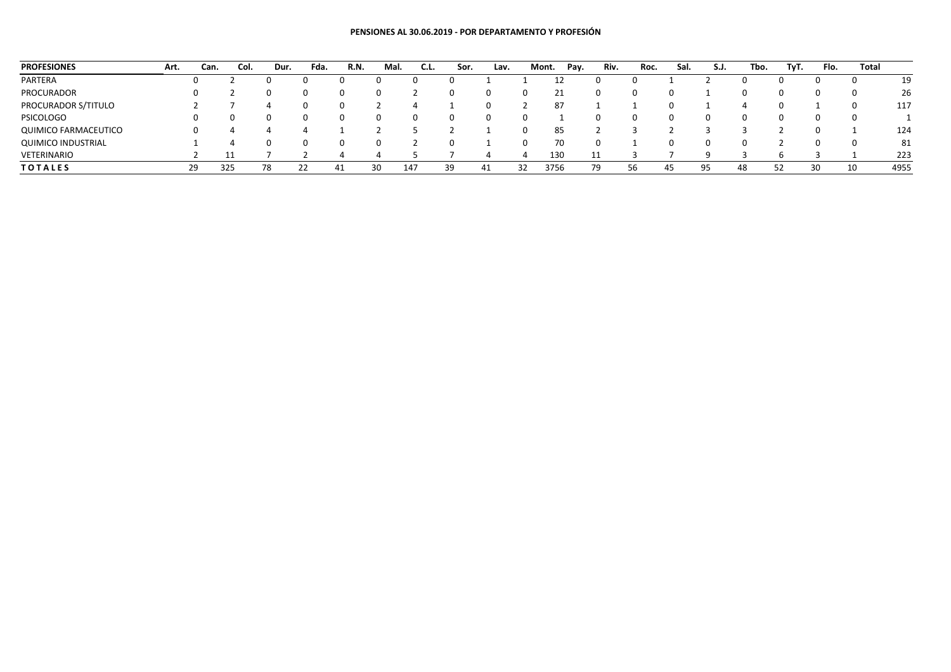## **PENSIONES AL 30.06.2019 ‐ POR DEPARTAMENTO Y PROFESIÓN**

| <b>PROFESIONES</b>        | Art. | Can.     | Col. | Dur. | Fda. | R.N. | Mal. | C.L.         | Sor. | Lav. |    | Pay.<br>Mont. | Riv. | Roc. | Sal. | S.J. | Tbo. | TyT. | Flo. | Total |      |
|---------------------------|------|----------|------|------|------|------|------|--------------|------|------|----|---------------|------|------|------|------|------|------|------|-------|------|
| PARTERA                   |      |          |      |      |      |      |      |              |      |      |    |               |      |      |      |      |      |      | 0    |       | 19   |
| <b>PROCURADOR</b>         |      |          |      |      | 0    |      |      |              |      |      |    | ـ ـ           | 0    |      |      |      |      |      | 0    |       | 26   |
| PROCURADOR S/TITULO       |      |          |      |      |      |      |      |              |      |      |    |               |      |      |      |      |      |      |      |       | 117  |
| <b>PSICOLOGO</b>          |      |          |      |      | 0    |      |      | <sup>0</sup> |      |      |    |               | 0    |      |      |      |      |      | 0    |       |      |
| QUIMICO FARMACEUTICO      |      | $\Omega$ |      |      |      |      |      |              |      |      |    | 85            |      |      |      |      |      |      | 0    |       | 124  |
| <b>QUIMICO INDUSTRIAL</b> |      |          |      |      | 0    |      |      |              |      |      | O  | 70            | 0    |      |      | O    |      |      | 0    |       | 81   |
| VETERINARIO               |      |          |      |      |      |      |      |              |      |      |    | 130           | 11   |      |      |      |      |      |      |       | 223  |
| <b>TOTALES</b>            |      | 29       | 325  | 78   | 22   | 41   | 30   | 147          | 39   | 41   | 32 | 3756          | 79   | 56   | 45   | 95   | 48   | 52   | 30   | 10    | 4955 |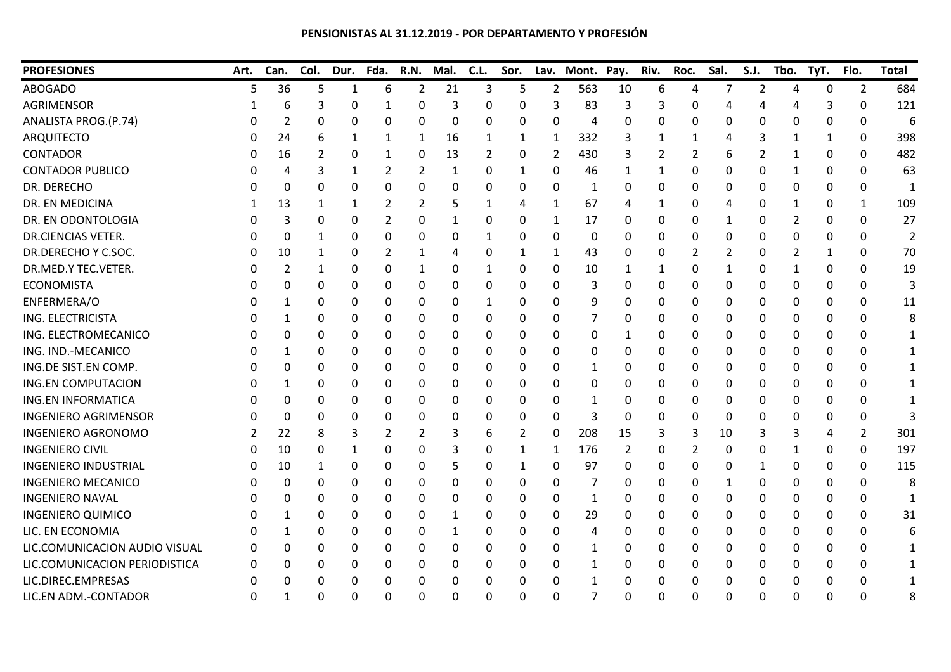## **PENSIONISTAS AL 31.12.2019 ‐ POR DEPARTAMENTO Y PROFESIÓN**

| <b>PROFESIONES</b>            | Art. | Can.     | Col.     | Dur. | Fda.     | <b>R.N.</b> | Mal.         | C.L.        | Sor.         |          | Lav. Mont. Pay. |          | Riv. | Roc.     | Sal. | S.J. | Tbo. | TyT. | Flo.           | <b>Total</b> |
|-------------------------------|------|----------|----------|------|----------|-------------|--------------|-------------|--------------|----------|-----------------|----------|------|----------|------|------|------|------|----------------|--------------|
| <b>ABOGADO</b>                | 5    | 36       | 5        | 1    | 6        | 2           | 21           | 3           | 5            | 2        | 563             | 10       | 6    | 4        | 7    | 2    | 4    | 0    | $\overline{2}$ | 684          |
| <b>AGRIMENSOR</b>             |      | 6        | 3        | 0    |          | 0           | 3            | $\Omega$    | $\Omega$     | 3        | 83              | 3        | 3    | 0        | Δ    | Δ    |      |      | $\mathbf{0}$   | 121          |
| ANALISTA PROG.(P.74)          |      | 2        | 0        | 0    | 0        | 0           | 0            | 0           | 0            | 0        | 4               | 0        | 0    | 0        | 0    | 0    | 0    | 0    | $\mathbf 0$    | 6            |
| <b>ARQUITECTO</b>             |      | 24       |          | 1    | 1        | 1           | 16           | 1           | 1            | 1        | 332             | 3        |      | 1        | 4    | 3    | -1   |      | 0              | 398          |
| <b>CONTADOR</b>               |      | 16       | 2        | 0    |          | 0           | 13           | 2           | 0            | 2        | 430             | 3        | 2    | 2        | 6    | 2    | 1    | 0    | 0              | 482          |
| <b>CONTADOR PUBLICO</b>       |      | 4        | 3        | 1    | 2        | 2           | $\mathbf{1}$ | $\Omega$    | $\mathbf{1}$ | $\Omega$ | 46              | 1        | 1    | $\Omega$ | 0    | 0    | 1    | 0    | $\mathbf{0}$   | 63           |
| DR. DERECHO                   |      | $\Omega$ | 0        | 0    | 0        | 0           | $\Omega$     | $\Omega$    | 0            | $\Omega$ | 1               | 0        | 0    | 0        | 0    | 0    | 0    | 0    | $\mathbf{0}$   | 1            |
| <b>DR. EN MEDICINA</b>        |      | 13       | 1        | 1    | 2        | 2           | 5            | 1           | 4            | 1        | 67              | 4        |      | 0        | 4    | 0    | 1    | 0    | 1              | 109          |
| DR. EN ODONTOLOGIA            |      | 3        | 0        | 0    | 2        | 0           | 1            | 0           | 0            | 1        | 17              | 0        | 0    | 0        | 1    | 0    | 2    | 0    | $\mathbf 0$    | 27           |
| <b>DR.CIENCIAS VETER.</b>     |      | 0        | 1        | 0    | 0        | 0           | 0            | 1           | 0            | 0        | 0               | 0        | 0    | 0        | 0    | 0    | 0    | 0    | $\mathbf{0}$   | 2            |
| DR.DERECHO Y C.SOC.           |      | 10       | 1        | 0    | 2        | 1           | 4            | 0           | 1            | 1        | 43              | 0        | 0    | 2        | 2    | 0    | 2    |      | $\mathbf{0}$   | 70           |
| DR.MED.Y TEC.VETER.           |      | 2        | -1       | 0    | 0        | 1           | 0            | 1           | 0            | 0        | 10              | 1        | 1    | 0        | 1    | 0    | 1    | 0    | $\mathbf{0}$   | 19           |
| <b>ECONOMISTA</b>             |      | 0        | 0        | 0    | 0        | 0           | 0            | 0           | 0            | 0        | 3               | 0        | 0    | 0        | 0    | 0    | 0    | 0    | 0              | 3            |
| ENFERMERA/O                   |      | 1        | 0        | 0    | 0        | 0           | 0            | 1           | 0            | 0        | 9               | 0        | 0    | 0        | 0    | 0    | 0    | 0    | $\mathbf 0$    | 11           |
| ING. ELECTRICISTA             |      |          | 0        | 0    | 0        | 0           | 0            | 0           | 0            | 0        | 7               | 0        | 0    | 0        | 0    | 0    | 0    | 0    | 0              | 8            |
| ING. ELECTROMECANICO          |      | 0        | 0        | 0    | 0        | 0           | 0            | 0           | 0            | 0        | 0               | 1        | 0    | 0        | 0    | 0    | 0    | 0    | $\mathbf{0}$   | 1            |
| ING. IND.-MECANICO            |      |          | 0        | 0    | 0        | 0           | 0            | 0           | 0            | 0        | 0               | 0        | 0    | 0        | 0    | 0    | 0    | 0    | 0              |              |
| ING.DE SIST.EN COMP.          |      | 0        | 0        | 0    | 0        | 0           | 0            | $\Omega$    | 0            | 0        | 1               | 0        | 0    | 0        | 0    | 0    | 0    | 0    | 0              |              |
| <b>ING.EN COMPUTACION</b>     |      |          | 0        | 0    | 0        | 0           | 0            | 0           | 0            | 0        | 0               | 0        | 0    | 0        | 0    | 0    | 0    | 0    | 0              |              |
| <b>ING.EN INFORMATICA</b>     |      | 0        | 0        | 0    | 0        | 0           | 0            | $\mathbf 0$ | 0            | 0        | 1               | 0        | 0    | 0        | 0    | 0    | 0    | 0    | $\mathbf{0}$   |              |
| <b>INGENIERO AGRIMENSOR</b>   |      | 0        | 0        | 0    | 0        | 0           | 0            | 0           | 0            | 0        | 3               | 0        | 0    | 0        | 0    | 0    | 0    | 0    | 0              |              |
| <b>INGENIERO AGRONOMO</b>     |      | 22       | 8        | 3    | 2        | 2           | 3            | 6           | 2            | $\Omega$ | 208             | 15       | 3    | 3        | 10   | 3    | 3    | 4    | 2              | 301          |
| <b>INGENIERO CIVIL</b>        |      | 10       | 0        | 1    | 0        | 0           | 3            | $\Omega$    | $\mathbf{1}$ | -1       | 176             | 2        | 0    | 2        | 0    | 0    | 1    | 0    | $\Omega$       | 197          |
| <b>INGENIERO INDUSTRIAL</b>   |      | 10       | 1        | 0    | 0        | 0           | 5            | $\Omega$    | 1            | 0        | 97              | 0        | 0    | 0        | 0    | 1    | 0    | 0    | $\Omega$       | 115          |
| <b>INGENIERO MECANICO</b>     |      | 0        | 0        | 0    | 0        | 0           | 0            | 0           | 0            | 0        |                 | 0        | 0    | 0        | 1    | 0    | 0    | 0    | 0              | 8            |
| <b>INGENIERO NAVAL</b>        |      | 0        | 0        | 0    | 0        | 0           | 0            | 0           | 0            | 0        | 1               | 0        | 0    | 0        | 0    | 0    | 0    | 0    | $\mathbf{0}$   | 1            |
| <b>INGENIERO QUIMICO</b>      |      |          | 0        | 0    | 0        | 0           |              | 0           | 0            | 0        | 29              | 0        | 0    | 0        | 0    | 0    | 0    | 0    | $\mathbf 0$    | 31           |
| LIC. EN ECONOMIA              |      |          | $\Omega$ | 0    | 0        | 0           | 1            | $\Omega$    | 0            | $\Omega$ | 4               | 0        | 0    | $\Omega$ | 0    | 0    | 0    | 0    | $\Omega$       |              |
| LIC.COMUNICACION AUDIO VISUAL |      | 0        | 0        | 0    | 0        | 0           | 0            | 0           | 0            | 0        | 1               | 0        | 0    | 0        | 0    | 0    | 0    | 0    | $\Omega$       |              |
| LIC.COMUNICACION PERIODISTICA |      | 0        | 0        | 0    | 0        | 0           | 0            | 0           | 0            | 0        | 1               | 0        | 0    | 0        | 0    | 0    | 0    | 0    | 0              |              |
| LIC.DIREC.EMPRESAS            |      | 0        | 0        | 0    | 0        | 0           | 0            | 0           | 0            | 0        | 1               | 0        | 0    | 0        | 0    | 0    | 0    | 0    | 0              |              |
| LIC.EN ADM.-CONTADOR          | U    |          | 0        | 0    | $\Omega$ | $\Omega$    | 0            | 0           | 0            | O        | 7               | $\Omega$ | 0    | $\Omega$ | 0    | 0    | 0    | O    | $\Omega$       | 8            |